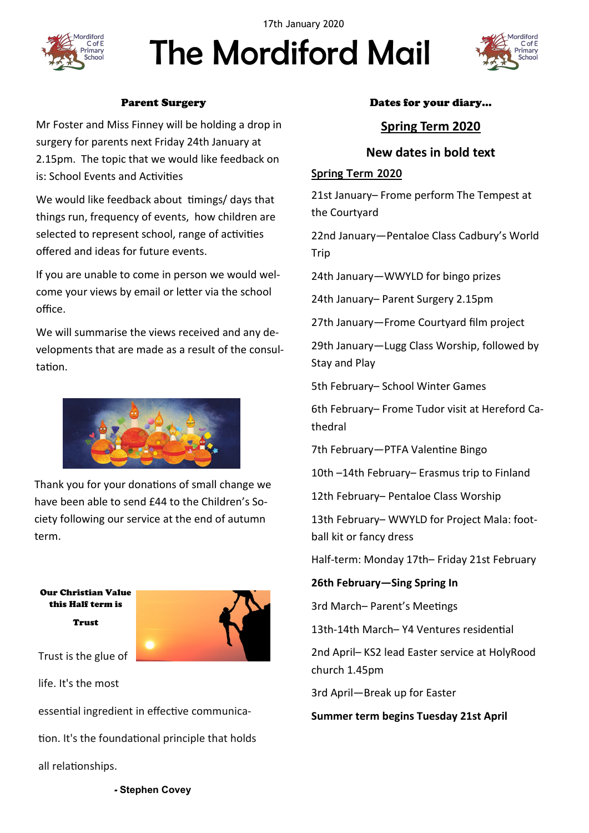

The Mordiford Mail 17th January 2020



## Parent Surgery

Mr Foster and Miss Finney will be holding a drop in surgery for parents next Friday 24th January at 2.15pm. The topic that we would like feedback on is: School Events and Activities

We would like feedback about timings/ days that things run, frequency of events, how children are selected to represent school, range of activities offered and ideas for future events.

If you are unable to come in person we would welcome your views by email or letter via the school office.

We will summarise the views received and any developments that are made as a result of the consultation.



Thank you for your donations of small change we have been able to send £44 to the Children's Society following our service at the end of autumn term.

Our Christian Value this Half term is Trust



Trust is the glue of

life. It's the most

essential ingredient in effective communica-

tion. It's the foundational principle that holds

all relationships.

#### Dates for your diary…

# **Spring Term 2020**

# **New dates in bold text**

## **Spring Term 2020**

21st January– Frome perform The Tempest at the Courtyard

22nd January—Pentaloe Class Cadbury's World **Trip** 

24th January—WWYLD for bingo prizes

24th January– Parent Surgery 2.15pm

27th January—Frome Courtyard film project

29th January—Lugg Class Worship, followed by Stay and Play

5th February– School Winter Games

6th February– Frome Tudor visit at Hereford Cathedral

7th February—PTFA Valentine Bingo

10th –14th February– Erasmus trip to Finland

12th February– Pentaloe Class Worship

13th February– WWYLD for Project Mala: football kit or fancy dress

Half-term: Monday 17th– Friday 21st February

**26th February—Sing Spring In**

3rd March– Parent's Meetings

13th-14th March– Y4 Ventures residential

2nd April– KS2 lead Easter service at HolyRood church 1.45pm

3rd April—Break up for Easter

**Summer term begins Tuesday 21st April** 

- **[Stephen Covey](https://www.brainyquote.com/authors/stephen-covey-quotes)**